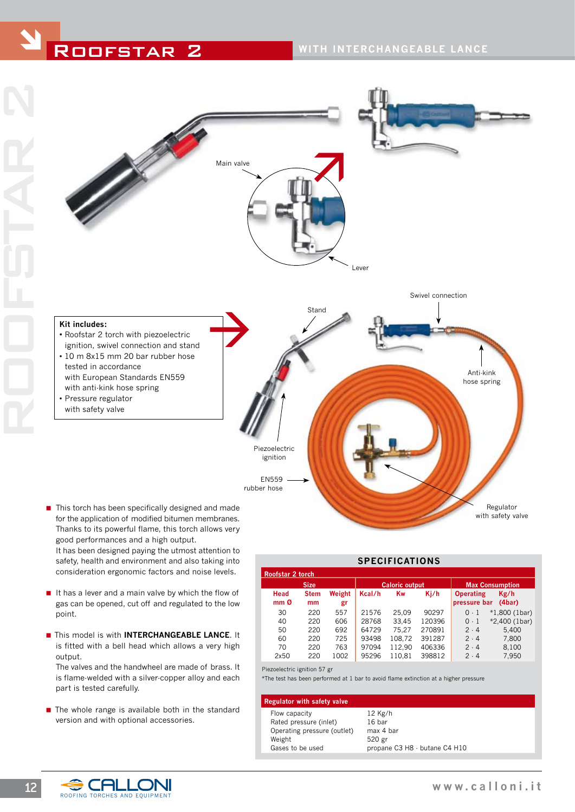ROOFSTAR 2



- Thanks to its powerful flame, this torch allows very good performances and a high output. It has been designed paying the utmost attention to safety, health and environment and also taking into consideration ergonomic factors and noise levels.
- If it has a lever and a main valve by which the flow of gas can be opened, cut off and regulated to the low point.
- **n** This model is with **INTERCHANGEABLE LANCE**. It is fitted with a bell head which allows a very high output.

 The valves and the handwheel are made of brass. It is flame-welded with a silver-copper alloy and each part is tested carefully.

 $\blacksquare$  The whole range is available both in the standard version and with optional accessories.

| SPECIFICATIONS   |             |        |                       |        |        |                        |                 |  |  |  |
|------------------|-------------|--------|-----------------------|--------|--------|------------------------|-----------------|--|--|--|
| Roofstar 2 torch |             |        |                       |        |        |                        |                 |  |  |  |
|                  | <b>Size</b> |        | <b>Caloric output</b> |        |        | <b>Max Consumption</b> |                 |  |  |  |
| Head             | <b>Stem</b> | Weight | Kcal/h                | Kw     | Kj/h   | <b>Operating</b>       | Kg/h            |  |  |  |
| mm <sub>0</sub>  | mm          | gr     |                       |        |        | pressure bar           | (4bar)          |  |  |  |
| 30               | 220         | 557    | 21576                 | 25.09  | 90297  | $0-1$                  | $*1,800$ (1bar) |  |  |  |
| 40               | 220         | 606    | 28768                 | 33.45  | 120396 | $0-1$                  | *2,400 (1bar)   |  |  |  |
| 50               | 220         | 692    | 64729                 | 75.27  | 270891 | 2.4                    | 5.400           |  |  |  |
| 60               | 220         | 725    | 93498                 | 108.72 | 391287 | 2.4                    | 7.800           |  |  |  |
| 70               | 220         | 763    | 97094                 | 112.90 | 406336 | 2.4                    | 8,100           |  |  |  |
| 2x50             | 220         | 1002   | 95296                 | 110.81 | 398812 | $2 - 4$                | 7,950           |  |  |  |
|                  |             |        |                       |        |        |                        |                 |  |  |  |

**SPECIFICATIONS**

Piezoelectric ignition 57 gr

\*The test has been performed at 1 bar to avoid flame extinction at a higher pressure

#### **Regulator with safety valve**

- Flow capacity 12 Kg/h Rated pressure (inlet) 16 bar Operating pressure (outlet) max 4 bar Weight 520 gr Gases to be used propane C3 H8 - butane C4 H10
- ROOFING TORCHES AND EQUIPMENT 12 **GHLLON** www.calloni.it